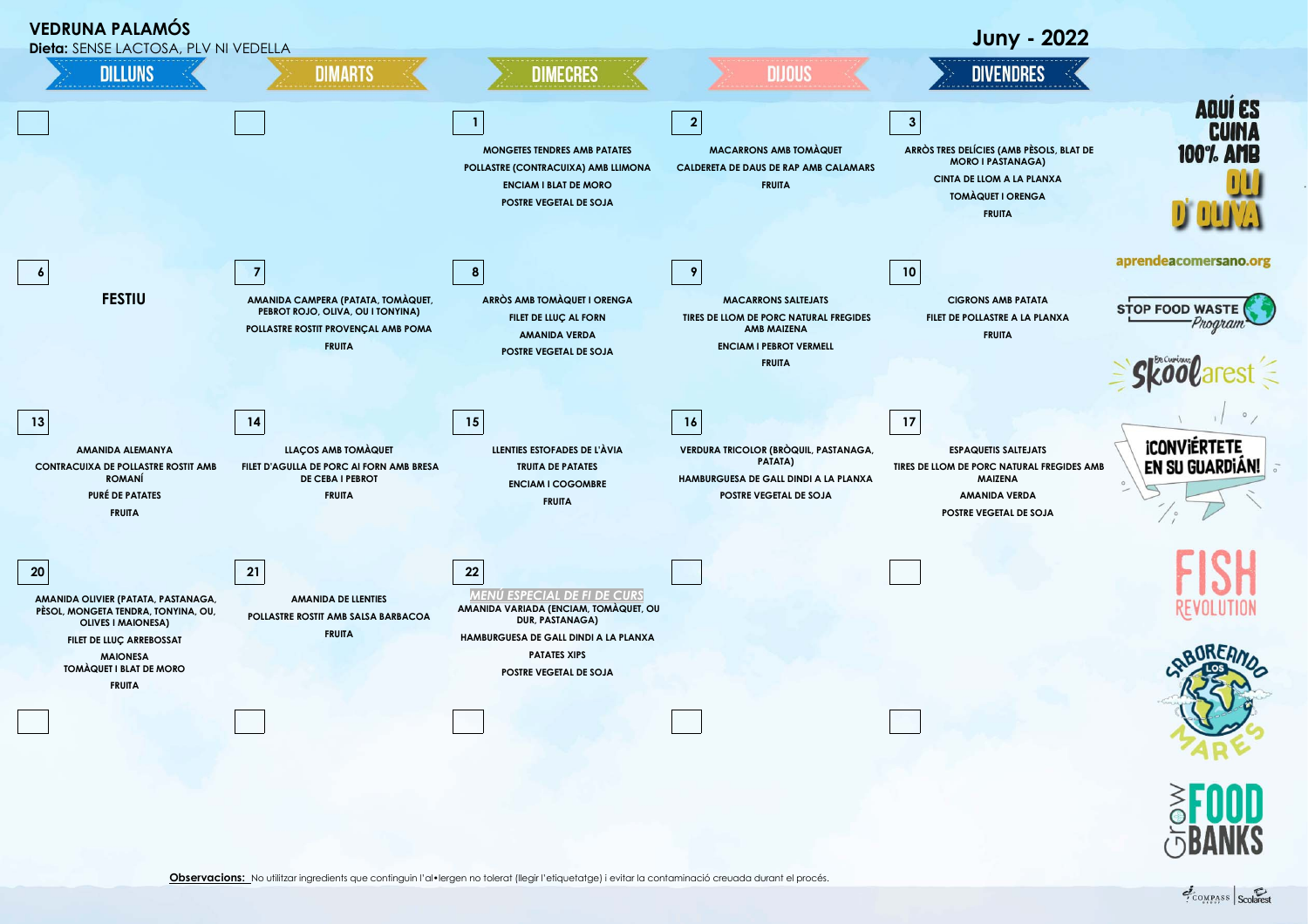